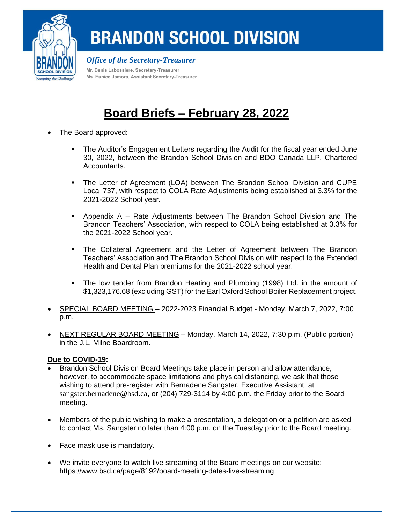

## **BRANDON SCHOOL DIVISION**

*Office of the Secretary-Treasurer*

**Mr. Denis Labossiere, Secretary-Treasurer Ms. Eunice Jamora, Assistant Secretary-Treasurer**

## **Board Briefs – February 28, 2022**

- The Board approved:
	- **The Auditor's Engagement Letters regarding the Audit for the fiscal year ended June** 30, 2022, between the Brandon School Division and BDO Canada LLP, Chartered Accountants.
	- **•** The Letter of Agreement (LOA) between The Brandon School Division and CUPE Local 737, with respect to COLA Rate Adjustments being established at 3.3% for the 2021-2022 School year.
	- Appendix A Rate Adjustments between The Brandon School Division and The Brandon Teachers' Association, with respect to COLA being established at 3.3% for the 2021-2022 School year.
	- **The Collateral Agreement and the Letter of Agreement between The Brandon** Teachers' Association and The Brandon School Division with respect to the Extended Health and Dental Plan premiums for the 2021-2022 school year.
	- The low tender from Brandon Heating and Plumbing (1998) Ltd. in the amount of \$1,323,176.68 (excluding GST) for the Earl Oxford School Boiler Replacement project.
- SPECIAL BOARD MEETING 2022-2023 Financial Budget Monday, March 7, 2022, 7:00 p.m.
- NEXT REGULAR BOARD MEETING Monday, March 14, 2022, 7:30 p.m. (Public portion) in the J.L. Milne Boardroom.

## **Due to COVID-19:**

- Brandon School Division Board Meetings take place in person and allow attendance, however, to accommodate space limitations and physical distancing, we ask that those wishing to attend pre-register with Bernadene Sangster, Executive Assistant, at [sangster.bernadene@bsd.ca](mailto:sangster.bernadene@bsd.ca), or (204) 729-3114 by 4:00 p.m. the Friday prior to the Board meeting.
- Members of the public wishing to make a presentation, a delegation or a petition are asked to contact Ms. Sangster no later than 4:00 p.m. on the Tuesday prior to the Board meeting.
- Face mask use is mandatory.
- We invite everyone to watch live streaming of the Board meetings on our website: <https://www.bsd.ca/page/8192/board-meeting-dates-live-streaming>